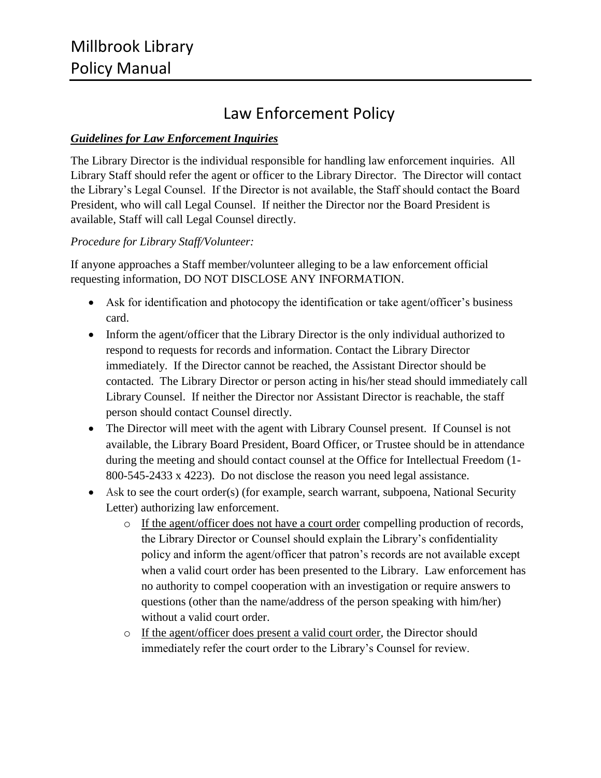# Law Enforcement Policy

## *Guidelines for Law Enforcement Inquiries*

The Library Director is the individual responsible for handling law enforcement inquiries. All Library Staff should refer the agent or officer to the Library Director. The Director will contact the Library's Legal Counsel. If the Director is not available, the Staff should contact the Board President, who will call Legal Counsel. If neither the Director nor the Board President is available, Staff will call Legal Counsel directly.

## *Procedure for Library Staff/Volunteer:*

If anyone approaches a Staff member/volunteer alleging to be a law enforcement official requesting information, DO NOT DISCLOSE ANY INFORMATION.

- Ask for identification and photocopy the identification or take agent/officer's business card.
- Inform the agent/officer that the Library Director is the only individual authorized to respond to requests for records and information. Contact the Library Director immediately. If the Director cannot be reached, the Assistant Director should be contacted. The Library Director or person acting in his/her stead should immediately call Library Counsel. If neither the Director nor Assistant Director is reachable, the staff person should contact Counsel directly.
- The Director will meet with the agent with Library Counsel present. If Counsel is not available, the Library Board President, Board Officer, or Trustee should be in attendance during the meeting and should contact counsel at the Office for Intellectual Freedom (1- 800-545-2433 x 4223). Do not disclose the reason you need legal assistance.
- Ask to see the court order(s) (for example, search warrant, subpoena, National Security Letter) authorizing law enforcement.
	- o If the agent/officer does not have a court order compelling production of records, the Library Director or Counsel should explain the Library's confidentiality policy and inform the agent/officer that patron's records are not available except when a valid court order has been presented to the Library. Law enforcement has no authority to compel cooperation with an investigation or require answers to questions (other than the name/address of the person speaking with him/her) without a valid court order.
	- o If the agent/officer does present a valid court order, the Director should immediately refer the court order to the Library's Counsel for review.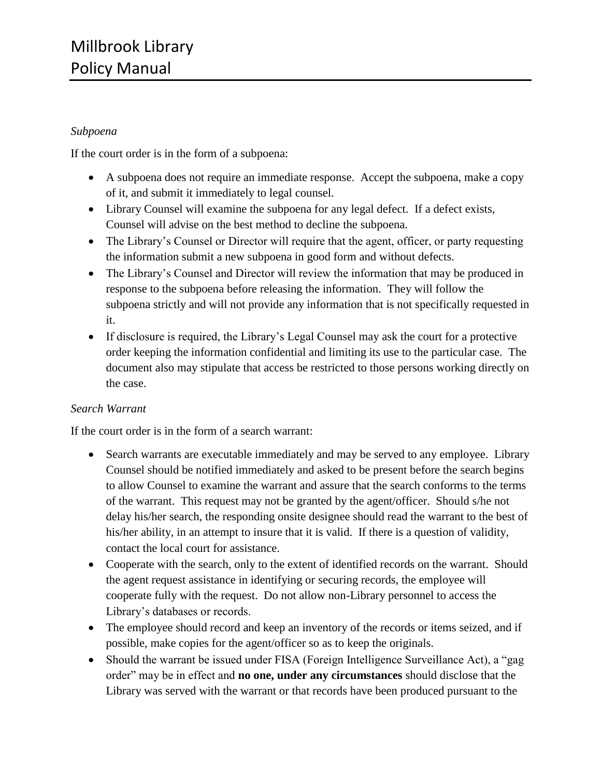## *Subpoena*

If the court order is in the form of a subpoena:

- A subpoena does not require an immediate response. Accept the subpoena, make a copy of it, and submit it immediately to legal counsel.
- Library Counsel will examine the subpoena for any legal defect. If a defect exists, Counsel will advise on the best method to decline the subpoena.
- The Library's Counsel or Director will require that the agent, officer, or party requesting the information submit a new subpoena in good form and without defects.
- The Library's Counsel and Director will review the information that may be produced in response to the subpoena before releasing the information. They will follow the subpoena strictly and will not provide any information that is not specifically requested in it.
- If disclosure is required, the Library's Legal Counsel may ask the court for a protective order keeping the information confidential and limiting its use to the particular case. The document also may stipulate that access be restricted to those persons working directly on the case.

#### *Search Warrant*

If the court order is in the form of a search warrant:

- Search warrants are executable immediately and may be served to any employee. Library Counsel should be notified immediately and asked to be present before the search begins to allow Counsel to examine the warrant and assure that the search conforms to the terms of the warrant. This request may not be granted by the agent/officer. Should s/he not delay his/her search, the responding onsite designee should read the warrant to the best of his/her ability, in an attempt to insure that it is valid. If there is a question of validity, contact the local court for assistance.
- Cooperate with the search, only to the extent of identified records on the warrant. Should the agent request assistance in identifying or securing records, the employee will cooperate fully with the request. Do not allow non-Library personnel to access the Library's databases or records.
- The employee should record and keep an inventory of the records or items seized, and if possible, make copies for the agent/officer so as to keep the originals.
- Should the warrant be issued under FISA (Foreign Intelligence Surveillance Act), a "gag order" may be in effect and **no one, under any circumstances** should disclose that the Library was served with the warrant or that records have been produced pursuant to the